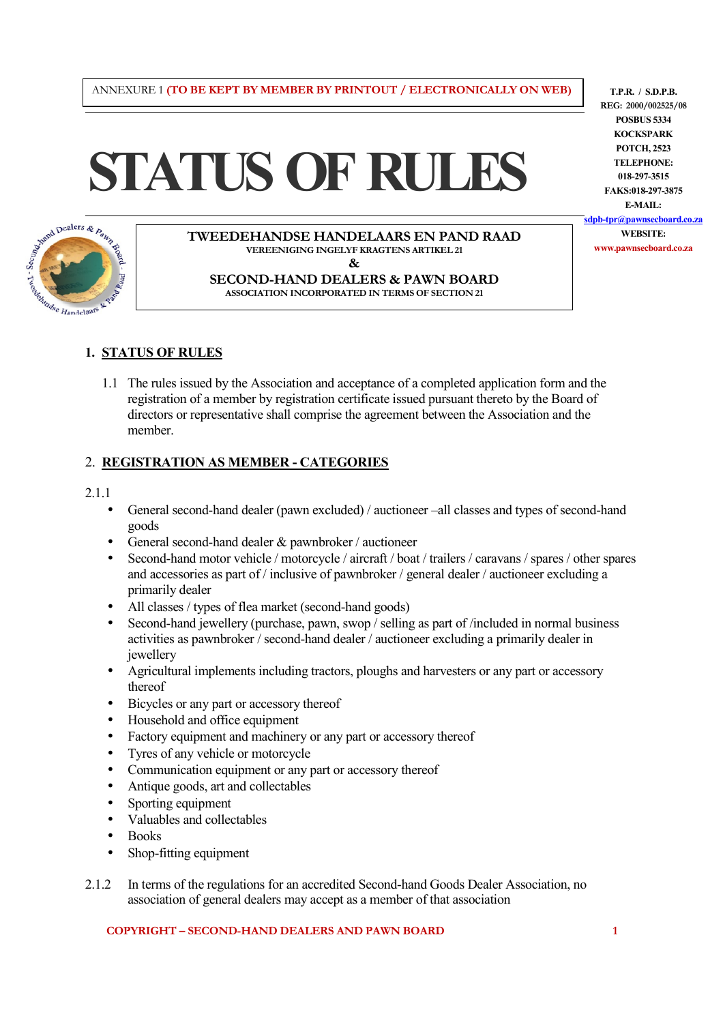#### ANNEXURE 1 **(TO BE KEPT BY MEMBER BY PRINTOUT / ELECTRONICALLY ON WEB)**

# **STATUS OF RULES**



**TWEEDEHANDSE HANDELAARS EN PAND RAAD VEREENIGING INGELYF KRAGTENS ARTIKEL 21 & SECOND-HAND DEALERS & PAWN BOARD** 

**ASSOCIATION INCORPORATED IN TERMS OF SECTION 21**

**T.P.R. / S.D.P.B. REG: 2000/002525/08 POSBUS 5334 KOCKSPARK POTCH, 2523 TELEPHONE: 018-297-3515 FAKS:018-297-3875 E-MAIL: sdpb-tpr@pawnsecboard.co.za WEBSITE: www.pawnsecboard.co.za**

## **1. STATUS OF RULES**

1.1 The rules issued by the Association and acceptance of a completed application form and the registration of a member by registration certificate issued pursuant thereto by the Board of directors or representative shall comprise the agreement between the Association and the member.

## 2. **REGISTRATION AS MEMBER - CATEGORIES**

#### 2.1.1

- General second-hand dealer (pawn excluded) / auctioneer –all classes and types of second-hand goods
- General second-hand dealer & pawnbroker / auctioneer
- Second-hand motor vehicle / motorcycle / aircraft / boat / trailers / caravans / spares / other spares and accessories as part of / inclusive of pawnbroker / general dealer / auctioneer excluding a primarily dealer
- All classes / types of flea market (second-hand goods)
- Second-hand jewellery (purchase, pawn, swop / selling as part of /included in normal business activities as pawnbroker / second-hand dealer / auctioneer excluding a primarily dealer in jewellery
- Agricultural implements including tractors, ploughs and harvesters or any part or accessory thereof
- Bicycles or any part or accessory thereof
- Household and office equipment
- Factory equipment and machinery or any part or accessory thereof
- Tyres of any vehicle or motorcycle
- Communication equipment or any part or accessory thereof
- Antique goods, art and collectables
- Sporting equipment
- Valuables and collectables
- Books
- Shop-fitting equipment
- 2.1.2 In terms of the regulations for an accredited Second-hand Goods Dealer Association, no association of general dealers may accept as a member of that association

**COPYRIGHT – SECOND-HAND DEALERS AND PAWN BOARD 1**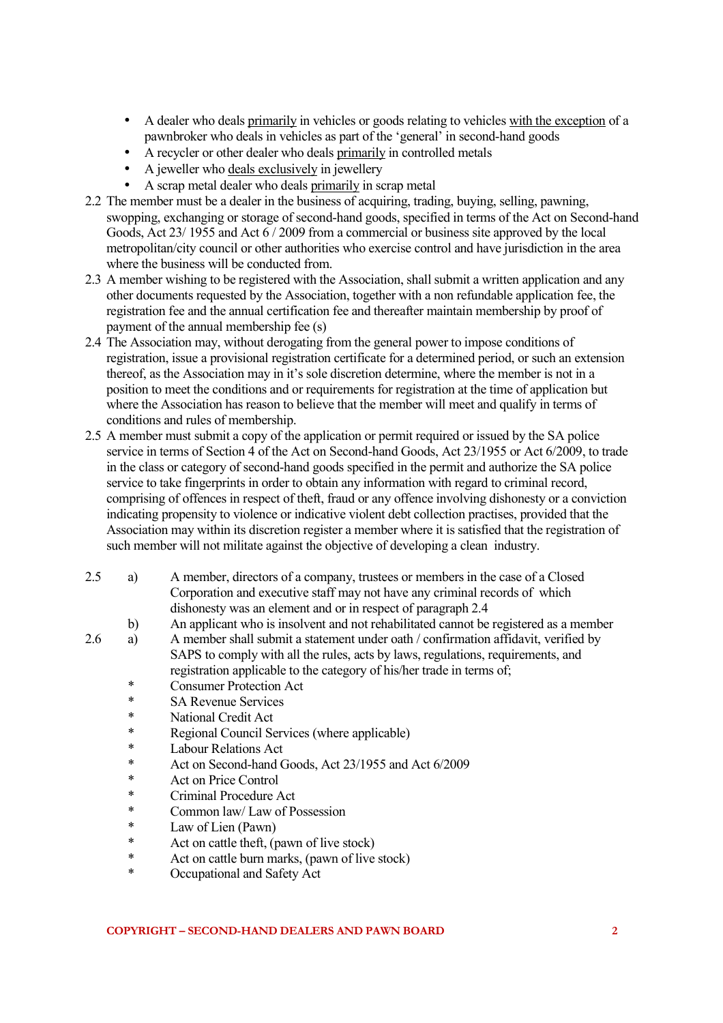- A dealer who deals primarily in vehicles or goods relating to vehicles with the exception of a pawnbroker who deals in vehicles as part of the 'general' in second-hand goods
- A recycler or other dealer who deals primarily in controlled metals
- A jeweller who deals exclusively in jewellery
- A scrap metal dealer who deals primarily in scrap metal
- 2.2 The member must be a dealer in the business of acquiring, trading, buying, selling, pawning, swopping, exchanging or storage of second-hand goods, specified in terms of the Act on Second-hand Goods, Act 23/ 1955 and Act 6 / 2009 from a commercial or business site approved by the local metropolitan/city council or other authorities who exercise control and have jurisdiction in the area where the business will be conducted from.
- 2.3 A member wishing to be registered with the Association, shall submit a written application and any other documents requested by the Association, together with a non refundable application fee, the registration fee and the annual certification fee and thereafter maintain membership by proof of payment of the annual membership fee (s)
- 2.4 The Association may, without derogating from the general power to impose conditions of registration, issue a provisional registration certificate for a determined period, or such an extension thereof, as the Association may in it's sole discretion determine, where the member is not in a position to meet the conditions and or requirements for registration at the time of application but where the Association has reason to believe that the member will meet and qualify in terms of conditions and rules of membership.
- 2.5 A member must submit a copy of the application or permit required or issued by the SA police service in terms of Section 4 of the Act on Second-hand Goods, Act 23/1955 or Act 6/2009, to trade in the class or category of second-hand goods specified in the permit and authorize the SA police service to take fingerprints in order to obtain any information with regard to criminal record, comprising of offences in respect of theft, fraud or any offence involving dishonesty or a conviction indicating propensity to violence or indicative violent debt collection practises, provided that the Association may within its discretion register a member where it is satisfied that the registration of such member will not militate against the objective of developing a clean industry.
- 2.5 a) A member, directors of a company, trustees or members in the case of a Closed Corporation and executive staff may not have any criminal records of which dishonesty was an element and or in respect of paragraph 2.4
	- b) An applicant who is insolvent and not rehabilitated cannot be registered as a member
- 2.6 a) A member shall submit a statement under oath / confirmation affidavit, verified by SAPS to comply with all the rules, acts by laws, regulations, requirements, and registration applicable to the category of his/her trade in terms of;
	- \* Consumer Protection Act<br>
	\* SA Peyenue Services
	- SA Revenue Services
	- National Credit Act
	- \* Regional Council Services (where applicable)
	- \* Labour Relations Act
	- \* Act on Second-hand Goods, Act 23/1955 and Act 6/2009
	- \* Act on Price Control
	- Criminal Procedure Act
	- \* Common law/ Law of Possession
	- \* Law of Lien (Pawn)
	- \* Act on cattle theft, (pawn of live stock)<br>Act on cattle burn marks (pawn of live
	- \* Act on cattle burn marks, (pawn of live stock)
	- Occupational and Safety Act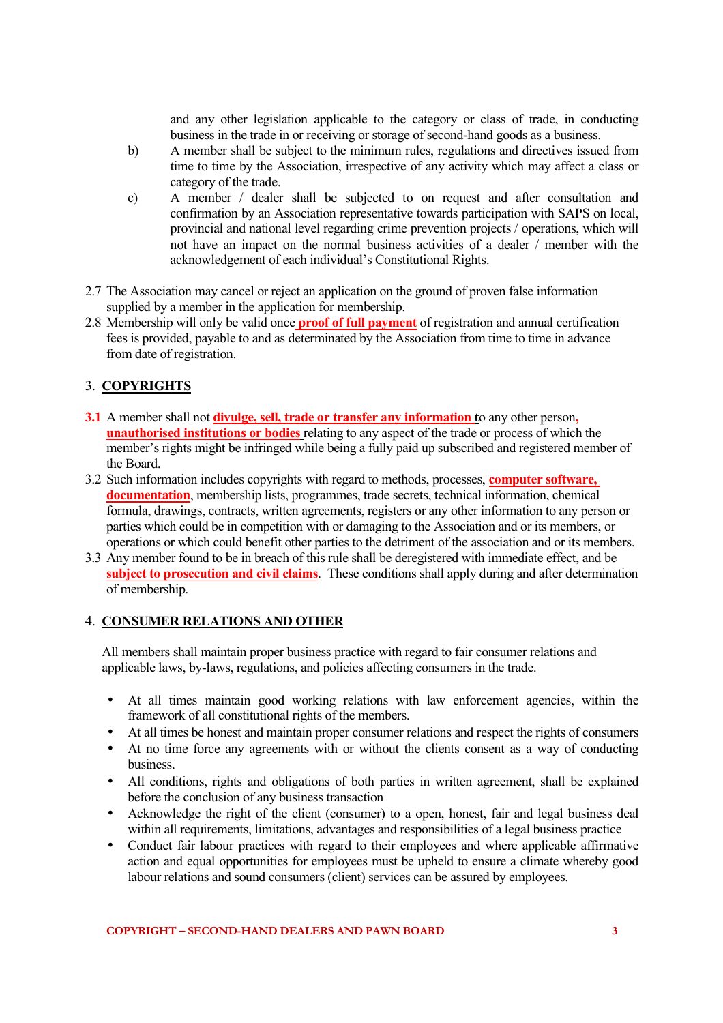and any other legislation applicable to the category or class of trade, in conducting business in the trade in or receiving or storage of second-hand goods as a business.

- b) A member shall be subject to the minimum rules, regulations and directives issued from time to time by the Association, irrespective of any activity which may affect a class or category of the trade.
- c) A member / dealer shall be subjected to on request and after consultation and confirmation by an Association representative towards participation with SAPS on local, provincial and national level regarding crime prevention projects / operations, which will not have an impact on the normal business activities of a dealer / member with the acknowledgement of each individual's Constitutional Rights.
- 2.7 The Association may cancel or reject an application on the ground of proven false information supplied by a member in the application for membership.
- 2.8 Membership will only be valid once **proof of full payment** of registration and annual certification fees is provided, payable to and as determinated by the Association from time to time in advance from date of registration.

## 3. **COPYRIGHTS**

- **3.1** A member shall not **divulge, sell, trade or transfer any information t**o any other person**, unauthorised institutions or bodies** relating to any aspect of the trade or process of which the member's rights might be infringed while being a fully paid up subscribed and registered member of the Board.
- 3.2 Such information includes copyrights with regard to methods, processes, **computer software, documentation**, membership lists, programmes, trade secrets, technical information, chemical formula, drawings, contracts, written agreements, registers or any other information to any person or parties which could be in competition with or damaging to the Association and or its members, or operations or which could benefit other parties to the detriment of the association and or its members.
- 3.3 Any member found to be in breach of this rule shall be deregistered with immediate effect, and be **subject to prosecution and civil claims**. These conditions shall apply during and after determination of membership.

## 4. **CONSUMER RELATIONS AND OTHER**

All members shall maintain proper business practice with regard to fair consumer relations and applicable laws, by-laws, regulations, and policies affecting consumers in the trade.

- At all times maintain good working relations with law enforcement agencies, within the framework of all constitutional rights of the members.
- At all times be honest and maintain proper consumer relations and respect the rights of consumers
- At no time force any agreements with or without the clients consent as a way of conducting business.
- All conditions, rights and obligations of both parties in written agreement, shall be explained before the conclusion of any business transaction
- Acknowledge the right of the client (consumer) to a open, honest, fair and legal business deal within all requirements, limitations, advantages and responsibilities of a legal business practice
- Conduct fair labour practices with regard to their employees and where applicable affirmative action and equal opportunities for employees must be upheld to ensure a climate whereby good labour relations and sound consumers (client) services can be assured by employees.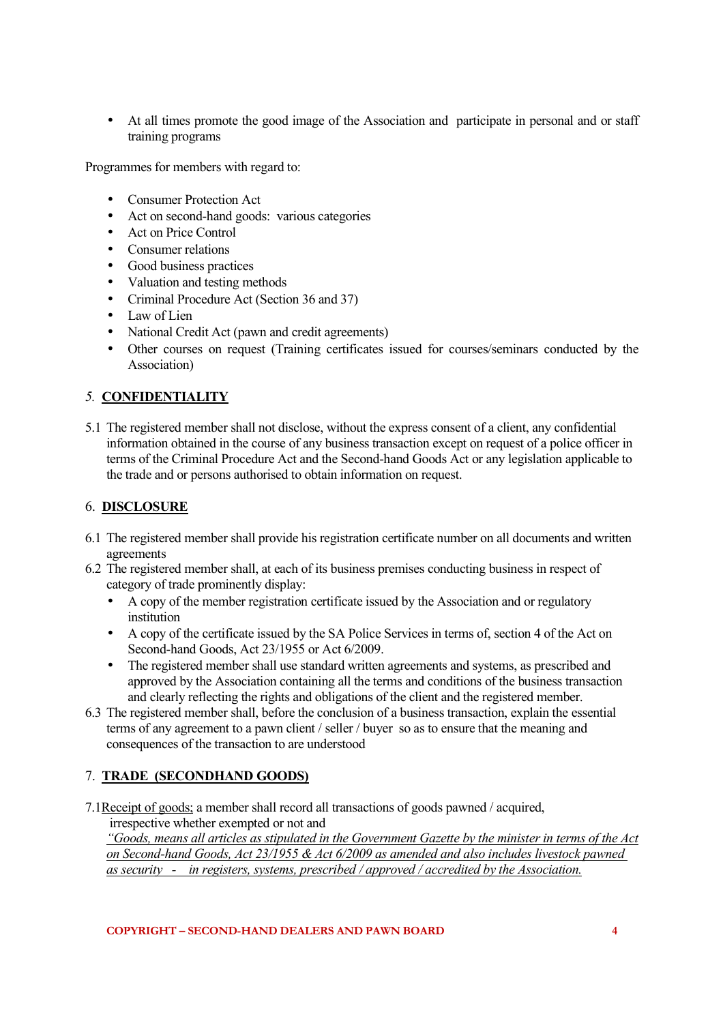• At all times promote the good image of the Association and participate in personal and or staff training programs

Programmes for members with regard to:

- Consumer Protection Act
- Act on second-hand goods: various categories
- Act on Price Control
- Consumer relations
- Good business practices
- Valuation and testing methods
- Criminal Procedure Act (Section 36 and 37)
- Law of Lien
- National Credit Act (pawn and credit agreements)
- Other courses on request (Training certificates issued for courses/seminars conducted by the Association)

# *5.* **CONFIDENTIALITY**

5.1 The registered member shall not disclose, without the express consent of a client, any confidential information obtained in the course of any business transaction except on request of a police officer in terms of the Criminal Procedure Act and the Second-hand Goods Act or any legislation applicable to the trade and or persons authorised to obtain information on request.

## 6. **DISCLOSURE**

- 6.1 The registered member shall provide his registration certificate number on all documents and written agreements
- 6.2 The registered member shall, at each of its business premises conducting business in respect of category of trade prominently display:
	- A copy of the member registration certificate issued by the Association and or regulatory institution
	- A copy of the certificate issued by the SA Police Services in terms of, section 4 of the Act on Second-hand Goods, Act 23/1955 or Act 6/2009.
	- The registered member shall use standard written agreements and systems, as prescribed and approved by the Association containing all the terms and conditions of the business transaction and clearly reflecting the rights and obligations of the client and the registered member.
- 6.3 The registered member shall, before the conclusion of a business transaction, explain the essential terms of any agreement to a pawn client / seller / buyer so as to ensure that the meaning and consequences of the transaction to are understood

## 7. **TRADE (SECONDHAND GOODS)**

7.1Receipt of goods; a member shall record all transactions of goods pawned / acquired, irrespective whether exempted or not and *"Goods, means all articles as stipulated in the Government Gazette by the minister in terms of the Act on Second-hand Goods, Act 23/1955 & Act 6/2009 as amended and also includes livestock pawned as security - in registers, systems, prescribed / approved / accredited by the Association.*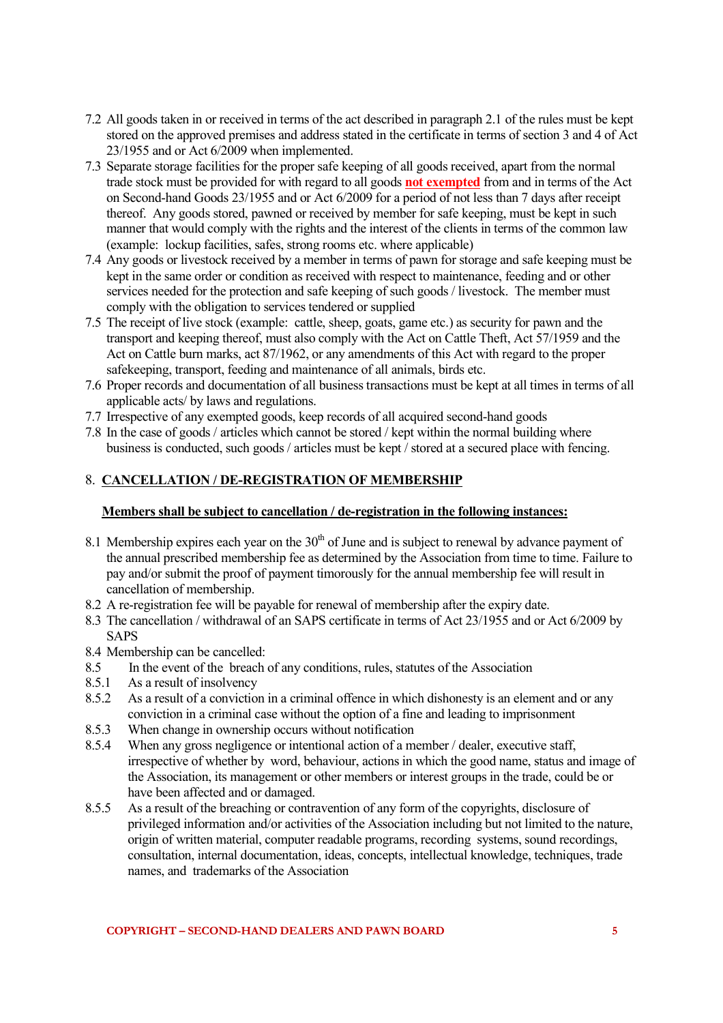- 7.2 All goods taken in or received in terms of the act described in paragraph 2.1 of the rules must be kept stored on the approved premises and address stated in the certificate in terms of section 3 and 4 of Act 23/1955 and or Act 6/2009 when implemented.
- 7.3 Separate storage facilities for the proper safe keeping of all goods received, apart from the normal trade stock must be provided for with regard to all goods **not exempted** from and in terms of the Act on Second-hand Goods 23/1955 and or Act 6/2009 for a period of not less than 7 days after receipt thereof. Any goods stored, pawned or received by member for safe keeping, must be kept in such manner that would comply with the rights and the interest of the clients in terms of the common law (example: lockup facilities, safes, strong rooms etc. where applicable)
- 7.4 Any goods or livestock received by a member in terms of pawn for storage and safe keeping must be kept in the same order or condition as received with respect to maintenance, feeding and or other services needed for the protection and safe keeping of such goods / livestock. The member must comply with the obligation to services tendered or supplied
- 7.5 The receipt of live stock (example: cattle, sheep, goats, game etc.) as security for pawn and the transport and keeping thereof, must also comply with the Act on Cattle Theft, Act 57/1959 and the Act on Cattle burn marks, act 87/1962, or any amendments of this Act with regard to the proper safekeeping, transport, feeding and maintenance of all animals, birds etc.
- 7.6 Proper records and documentation of all business transactions must be kept at all times in terms of all applicable acts/ by laws and regulations.
- 7.7 Irrespective of any exempted goods, keep records of all acquired second-hand goods
- 7.8 In the case of goods / articles which cannot be stored / kept within the normal building where business is conducted, such goods / articles must be kept / stored at a secured place with fencing.

## 8. **CANCELLATION / DE-REGISTRATION OF MEMBERSHIP**

#### **Members shall be subject to cancellation / de-registration in the following instances:**

- 8.1 Membership expires each year on the  $30<sup>th</sup>$  of June and is subject to renewal by advance payment of the annual prescribed membership fee as determined by the Association from time to time. Failure to pay and/or submit the proof of payment timorously for the annual membership fee will result in cancellation of membership.
- 8.2 A re-registration fee will be payable for renewal of membership after the expiry date.
- 8.3 The cancellation / withdrawal of an SAPS certificate in terms of Act 23/1955 and or Act 6/2009 by SAPS
- 8.4 Membership can be cancelled:
- 8.5 In the event of the breach of any conditions, rules, statutes of the Association
- 8.5.1 As a result of insolvency
- 8.5.2 As a result of a conviction in a criminal offence in which dishonesty is an element and or any conviction in a criminal case without the option of a fine and leading to imprisonment
- 8.5.3 When change in ownership occurs without notification<br>8.5.4 When any gross negligence or intentional action of a m
- When any gross negligence or intentional action of a member / dealer, executive staff, irrespective of whether by word, behaviour, actions in which the good name, status and image of the Association, its management or other members or interest groups in the trade, could be or have been affected and or damaged.
- 8.5.5 As a result of the breaching or contravention of any form of the copyrights, disclosure of privileged information and/or activities of the Association including but not limited to the nature, origin of written material, computer readable programs, recording systems, sound recordings, consultation, internal documentation, ideas, concepts, intellectual knowledge, techniques, trade names, and trademarks of the Association